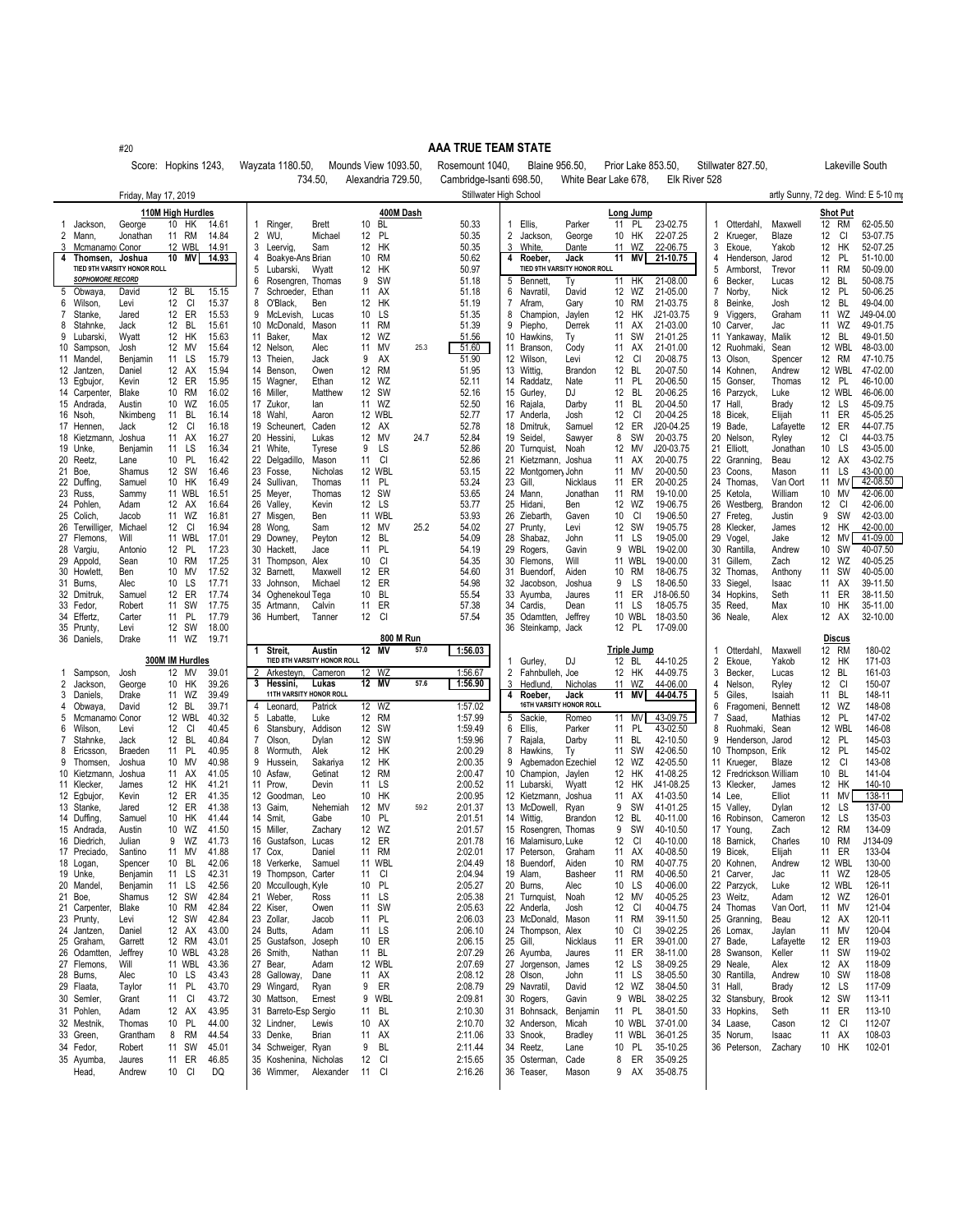#20

## **AAA TRUE TEAM STATE**

Score: Hopkins 1243, Wayzata 1180.50, Mounds View 1093.50, Rosemount 1040, Blaine 956.50, Prior Lake 853.50, Stillwater 827.50, Lakeville South

|        |                             |                             |                             |                |                |                                      | 734.50,                               | Alexandria 729.50                  |      | Cambridge-Isanti 698.50 |                                    | White Bear Lake 678.        |                                | Elk River 528        |             |                            |                   |                             |                                     |
|--------|-----------------------------|-----------------------------|-----------------------------|----------------|----------------|--------------------------------------|---------------------------------------|------------------------------------|------|-------------------------|------------------------------------|-----------------------------|--------------------------------|----------------------|-------------|----------------------------|-------------------|-----------------------------|-------------------------------------|
|        |                             | Friday, May 17, 2019        |                             |                |                |                                      |                                       |                                    |      |                         | Stillwater High School             |                             |                                |                      |             |                            |                   |                             | artly Sunny, 72 deg. Wind: E 5-10 m |
|        |                             |                             | 110M High Hurdles           |                |                |                                      |                                       | 400M Dash                          |      |                         |                                    |                             | Long Jump                      |                      |             |                            |                   | <b>Shot Put</b>             |                                     |
| 1.     | Jackson,                    | George                      | 10<br>HK                    | 14.61          |                | Ringer,                              | Brett                                 | 10<br>BL                           |      | 50.33                   | Ellis,<br>1                        | Parker                      | 11<br>PL                       | 23-02.75             |             | Otterdahl,                 | Maxwell           | 12 RM                       | 62-05.50                            |
| 2      | Mann,                       | Jonathan                    | 11 RM                       | 14.84          | $\overline{2}$ | WU.                                  | Michael                               | PL<br>12                           |      | 50.35                   | 2<br>Jackson,                      | George                      | HK<br>10                       | 22-07.25             | 2           | Krueger,                   | Blaze             | 12<br>CI                    | 53-07.75                            |
| 3      | Mcmanamo Conor              |                             | 12 WBL                      | 14.91          | 3              | Leervig,                             | Sam                                   | 12<br>HK                           |      | 50.35                   | 3 White                            | Dante                       | WZ<br>11                       | 22-06.75             | 3           | Ekoue,                     | Yakob             | HK<br>12                    | 52-07.25                            |
| 4      | Thomsen, Joshua             |                             | 10<br>ΜV                    | 14.93          | 4              | Boakye-Ans Brian                     |                                       | <b>RM</b><br>10                    |      | 50.62                   | Roeber,<br>4                       | Jack                        | 11<br>ΜVΙ                      | 21-10.75             | 4           | Henderson                  | Jarod             | <b>PL</b><br>12             | 51-10.00                            |
|        |                             | TIED 9TH VARSITY HONOR ROLL |                             |                | 5              | Lubarski,                            | Wyatt                                 | HK<br>12                           |      | 50.97                   |                                    | TIED 9TH VARSITY HONOR ROLL |                                |                      |             | Armborst,                  | Trevor            | 11 RM                       | 50-09.00                            |
|        | <b>SOPHOMORE RECORD</b>     |                             |                             |                | 6<br>7         | Rosengren,                           | Thomas                                | 9<br><b>SW</b>                     |      | 51.18                   | 5 Bennett,<br>6                    | Тy                          | 11 HK                          | 21-08.00             | 6           | Becker,                    | Lucas             | BL<br>12<br>PL              | 50-08.75<br>50-06.25                |
| 5<br>6 | Obwaya,<br>Wilson,          | David<br>Levi               | 12<br><b>BL</b><br>12<br>CI | 15.15<br>15.37 | 8              | Schroeder,<br>O'Black,               | Ethan<br>Ben                          | 11<br>AX<br>HK<br>12               |      | 51.18<br>51.19          | Navratil<br>7<br>Afram,            | David<br>Gary               | 12<br>WZ<br><b>RM</b><br>10    | 21-05.00<br>21-03.75 | 7<br>8      | Norby,<br>Beinke,          | Nick<br>Josh      | 12<br>BL<br>12              | 49-04.00                            |
| 7      | Stanke,                     | Jared                       | 12<br>ER                    | 15.53          | 9              | McLevish,                            | Lucas                                 | LS<br>10                           |      | 51.35                   | Champion,<br>8                     | Jaylen                      | <b>HK</b><br>$12 \overline{ }$ | J21-03.75            | 9           | Viggers,                   | Graham            | WZ<br>11                    | J49-04.00                           |
| 8      | Stahnke,                    | Jack                        | 12 BL                       | 15.61          |                | 10 McDonald,                         | Mason                                 | <b>RM</b><br>11                    |      | 51.39                   | 9<br>Piepho,                       | Derrek                      | AX<br>11                       | 21-03.00             |             | 10 Carver,                 | Jac               | 11 WZ                       | 49-01.75                            |
| 9      | Lubarski,                   | Wyatt                       | 12 HK                       | 15.63          |                | 11 Baker,                            | Max                                   | WZ<br>12                           |      | 51.56                   | 10 Hawkins,                        | Тy                          | SW<br>11                       | 21-01.25             |             | 11 Yankaway,               | Malik             | 12<br>BL                    | 49-01.50                            |
|        | 10 Sampson                  | Josh                        | 12 MV                       | 15.64          |                | 12 Nelson,                           | Alec                                  | 11<br>MV                           | 25.3 | 51.60                   | 11 Branson,                        | Cody                        | 11<br>AX                       | 21-01.00             |             | 12 Ruohmaki,               | Sean              | 12 WBL                      | 48-03.00                            |
|        | 11 Mandel,                  | Benjamin                    | 11<br>LS                    | 15.79          |                | 13 Theien,                           | Jack                                  | AX<br>9                            |      | 51.90                   | 12 Wilson,                         | Levi                        | CI<br>12                       | 20-08.75             | 13 Olson,   |                            | Spencer           | 12 RM                       | 47-10.75                            |
|        | 12 Jantzen,                 | Daniel<br>Kevin             | AX<br>12<br>12<br>ER        | 15.94<br>15.95 |                | 14 Benson<br>15 Wagner,              | Owen<br>Ethan                         | <b>RM</b><br>12<br>WZ<br>12        |      | 51.95<br>52.11          | 13 Wittig,<br>14 Raddatz,          | Brandon<br>Nate             | <b>BL</b><br>12<br>PL<br>11    | 20-07.50<br>20-06.50 |             | 14 Kohnen,<br>15 Gonser,   | Andrew<br>Thomas  | <b>12 WBL</b><br>12 PL      | 47-02.00<br>46-10.00                |
|        | 13 Egbujor,<br>14 Carpenter | Blake                       | 10 RM                       | 16.02          |                | 16 Miller,                           | Matthew                               | 12<br><b>SW</b>                    |      | 52.16                   | 15 Gurley                          | DJ                          | 12<br>BL                       | 20-06.25             |             | 16 Parzyck,                | Luke              | 12 WBL                      | 46-06.00                            |
|        | 15 Andrada,                 | Austin                      | 10<br>WZ                    | 16.05          |                | 17 Zukor,                            | lan                                   | 11 WZ                              |      | 52.50                   | 16 Rajala,                         | Darby                       | 11<br>BL                       | 20-04.50             | 17 Hall,    |                            | Brady             | 12<br>LS                    | 45-09.75                            |
|        | 16 Nsoh,                    | Nkimbeng                    | 11<br>BL                    | 16.14          |                | 18 Wahl,                             | Aaron                                 | 12 WBL                             |      | 52.77                   | 17 Anderla,                        | Josh                        | 12<br>CI                       | 20-04.25             | 18 Bicek,   |                            | Elijah            | ER<br>11                    | 45-05.25                            |
|        | 17 Hennen,                  | Jack                        | CI<br>12                    | 16.18          |                | 19 Scheunert,                        | Caden                                 | 12<br>AX                           |      | 52.78                   | 18 Dmitruk,                        | Samuel                      | ER<br>12                       | J20-04.25            | 19 Bade,    |                            | Lafayette         | ER<br>12                    | 44-07.75                            |
|        | 18 Kietzmann,               | Joshua                      | 11 AX                       | 16.27          |                | 20 Hessini.                          | Lukas                                 | MV<br>12                           | 24.7 | 52.84                   | 19 Seidel,                         | Sawyer                      | 8<br><b>SW</b>                 | 20-03.75             |             | 20 Nelson,                 | Ryley             | 12<br>CI                    | 44-03.75                            |
|        | 19 Unke,                    | Benjamin                    | LS<br>11                    | 16.34          |                | 21 White,                            | Tyrese                                | 9<br>LS                            |      | 52.86                   | 20 Turnquist,                      | Noah                        | 12<br>MV                       | J20-03.75            | 21 Elliott, |                            | Jonathan          | 10<br>LS                    | 43-05.00                            |
|        | 20 Reetz,                   | Lane                        | <b>PL</b><br>10<br>12 SW    | 16.42<br>16.46 |                | 22 Delgadillo,                       | Mason                                 | 11<br>CI<br>12 WBL                 |      | 52.86<br>53.15          | 21 Kietzmann,                      | Joshua                      | 11<br>AX<br>11<br>MV           | 20-00.75<br>20-00.50 |             | 22 Granning,               | Beau              | 12<br>AX<br>LS<br>11        | 43-02.75<br>43-00.00                |
|        | 21 Boe,<br>22 Duffing.      | Shamus<br>Samuel            | 10<br>HK                    | 16.49          |                | 23 Fosse,<br>24 Sullivan             | Nicholas<br>Thomas                    | <b>PL</b><br>11                    |      | 53.24                   | 22 Montgomery John<br>23 Gill,     | Nicklaus                    | ER<br>11                       | 20-00.25             |             | 23 Coons,<br>24 Thomas     | Mason<br>Van Oort | 11<br>MV                    | 42-08.50                            |
|        | 23 Russ,                    | Sammy                       | 11 WBL                      | 16.51          |                | 25 Meyer,                            | Thomas                                | 12 SW                              |      | 53.65                   | 24 Mann,                           | Jonathan                    | <b>RM</b><br>11                | 19-10.00             | 25 Ketola,  |                            | William           | 10<br>MV                    | 42-06.00                            |
|        | 24 Pohlen,                  | Adam                        | 12<br>AX                    | 16.64          |                | 26 Valley,                           | Kevin                                 | 12<br>LS                           |      | 53.77                   | 25 Hidani,                         | Ben                         | 12<br>WZ                       | 19-06.75             |             | 26 Westberg,               | Brandon           | 12<br>CI                    | 42-06.00                            |
|        | 25 Colich,                  | Jacob                       | 11 WZ                       | 16.81          |                | 27 Misgen,                           | Ben                                   | 11 WBL                             |      | 53.93                   | 26 Ziebarth                        | Gaven                       | 10<br>CI                       | 19-06.50             |             | 27 Freteg,                 | Justin            | 9<br><b>SW</b>              | 42-03.00                            |
| 26     | Terwilliger                 | Michael                     | CI<br>12                    | 16.94          |                | 28 Wong,                             | Sam                                   | 12 MV                              | 25.2 | 54.02                   | 27 Prunty,                         | Levi                        | <b>SW</b><br>12                | 19-05.75             |             | 28 Klecker,                | James             | HK<br>12                    | 42-00.00                            |
|        | 27 Flemons,                 | Will                        | <b>11 WBL</b>               | 17.01          |                | 29 Downey,                           | Peyton                                | <b>BL</b><br>12                    |      | 54.09                   | 28 Shabaz,                         | John                        | 11<br>LS                       | 19-05.00             | 29 Vogel,   |                            | Jake              | 12<br>MV                    | 41-09.00                            |
|        | 28 Vargiu,                  | Antonio<br>Sean             | 12 PL<br>10 RM              | 17.23<br>17.25 |                | 30 Hackett.<br>31 Thompson,          | Jace<br>Alex                          | <b>PL</b><br>11<br>10<br>CI        |      | 54.19<br>54.35          | 29 Rogers,<br>30 Flemons,          | Gavin<br>Will               | WBL<br>9<br><b>11 WBL</b>      | 19-02.00<br>19-00.00 |             | 30 Rantilla<br>31 Gillem,  | Andrew<br>Zach    | <b>SW</b><br>10<br>12<br>WZ | 40-07.50<br>40-05.25                |
|        | 29 Appold,<br>30 Howlett    | Ben                         | 10<br>MV                    | 17.52          |                | 32 Barnett,                          | Maxwell                               | 12<br>ER                           |      | 54.60                   | 31 Buendorf,                       | Aiden                       | 10<br><b>RM</b>                | 18-06.75             |             | 32 Thomas                  | Anthony           | 11<br><b>SW</b>             | 40-05.00                            |
|        | 31 Burns,                   | Alec                        | 10<br>LS                    | 17.71          |                | 33 Johnson                           | Michael                               | ER<br>12                           |      | 54.98                   | 32 Jacobson,                       | Joshua                      | LS<br>9                        | 18-06.50             | 33 Siegel,  |                            | Isaac             | 11<br>AX                    | 39-11.50                            |
|        | 32 Dmitruk                  | Samuel                      | ER<br>12                    | 17.74          |                | 34 Oghenekoul Tega                   |                                       | BL<br>10                           |      | 55.54                   | 33 Ayumba,                         | Jaures                      | ER<br>11                       | J18-06.50            |             | 34 Hopkins                 | Seth              | ER<br>11                    | 38-11.50                            |
|        | 33 Fedor,                   | Robert                      | <b>SW</b><br>11             | 17.75          |                | 35 Artmann,                          | Calvin                                | ER<br>11                           |      | 57.38                   | 34 Cardis,                         | Dean                        | 11<br>LS                       | 18-05.75             | 35 Reed,    |                            | Max               | HK<br>10                    | 35-11.00                            |
|        | 34 Effertz                  | Carter                      | 11 PL                       | 17.79          |                | 36 Humbert,                          | Tanner                                | 12<br>CI                           |      | 57.54                   | 35 Odamtten,                       | Jeffrey                     | 10 WBL                         | 18-03.50             | 36 Neale,   |                            | Alex              | 12 AX                       | 32-10.00                            |
|        |                             |                             |                             |                |                |                                      |                                       |                                    |      |                         |                                    |                             |                                |                      |             |                            |                   |                             |                                     |
|        | 35 Prunty,                  | Levi                        | 12<br>SW                    | 18.00          |                |                                      |                                       |                                    |      |                         | 36 Steinkamp,                      | Jack                        | 12 PL                          | 17-09.00             |             |                            |                   |                             |                                     |
|        | 36 Daniels,                 | Drake                       | 11<br>WZ                    | 19.71          | -1             |                                      |                                       | 800 M Run                          |      |                         |                                    |                             |                                |                      |             |                            |                   | <b>Discus</b>               |                                     |
|        |                             |                             | 300M IM Hurdles             |                |                | Streit.                              | Austin<br>TIED 8TH VARSITY HONOR ROLL | 12<br>MV                           | 57.0 | 1:56.03                 |                                    | DJ                          | Triple Jump<br>12<br><b>BL</b> |                      | 2           | Otterdahl<br>Ekoue,        | Maxwell<br>Yakob  | 12<br>RM<br>12 HK           | 180-02<br>171-03                    |
|        | Sampson,                    | Josh                        | 12 MV                       | 39.01          |                | Arkesteyn                            | Cameror                               | 12 WZ                              |      | 1:56.67                 | Gurley,<br>2<br>Fahnbulleh, Joe    |                             | 12<br>HK                       | 44-10.25<br>44-09.75 | 3           | Becker,                    | Lucas             | 12<br>BL                    | 161-03                              |
| 2      | Jackson,                    | George                      | 10<br>HK                    | 39.26          | $\mathbf{3}$   | Hessini,                             | Lukas                                 | 12 MV                              | 57.6 | 1:56.90                 | 3<br>Hedlund                       | Nicholas                    | WZ<br>11                       | 44-06.00             | 4           | Nelson,                    | Ryley             | 12<br>CI                    | 150-07                              |
| 3      | Daniels,                    | Drake                       | 11 WZ                       | 39.49          |                |                                      | 11TH VARSITY HONOR ROLL               |                                    |      |                         | 4<br>Roeber,                       | Jack                        | 11<br>ΜV                       | 44-04.75             | 5           | Giles,                     | Isaiah            | BL<br>11                    | 148-11                              |
| 4      | Obwaya,                     | David                       | 12 BL                       | 39.71          | 4              | Leonard,                             | Patrick                               | 12 WZ                              |      | 1:57.02                 | <b>16TH VARSITY</b>                | <b>HONOR ROLL</b>           |                                |                      | 6           | Fragomeni                  | Bennett           | WZ<br>12                    | 148-08                              |
| 5      | Mcmanamo Conor              |                             | 12 WBL                      | 40.32          | 5              | Labatte,                             | Luke                                  | 12 RM                              |      | 1:57.99                 | Sackie.<br>5                       | Romeo                       | 11<br>MV                       | 43-09.75             |             | Saad                       | Mathias           | 12 PL                       | 147-02                              |
| 6<br>7 | Wilson,                     | Levi<br>Jack                | 12<br>CI<br>12 BL           | 40.45<br>40.84 | 6<br>7         | Stansbury.<br>Olson                  | Addison                               | 12<br><b>SW</b><br><b>SW</b><br>12 |      | 1:59.49                 | 6<br>Ellis,<br>7                   | Parker<br>Darby             | PL<br>11<br>BL<br>11           | 43-02.50             | 8<br>9      | Ruohmaki,                  | Sean<br>Jarod     | 12 WBL<br>12 PL             | 146-08                              |
| 8      | Stahnke,<br>Ericsson,       | Braeder                     | 11 PL                       | 40.95          | 8              | Wormuth,                             | Dylan<br>Alek                         | HK<br>12                           |      | 1:59.96<br>2:00.29      | Rajala,<br>8<br>Hawkins,           | Ty                          | <b>SW</b><br>11                | 42-10.50<br>42-06.50 |             | Henderson,<br>10 Thompson, | Erik              | 12 PL                       | 145-03<br>145-02                    |
| 9      | Thomsen                     | Joshua                      | MV<br>10                    | 40.98          | 9              | Hussein,                             | Sakariya                              | 12<br>НK                           |      | 2:00.35                 | 9<br>Agbemadon Ezechiel            |                             | WZ<br>12                       | 42-05.50             |             | 11 Krueger,                | Blaze             | CI<br>12                    | 143-08                              |
|        | 10 Kietzmann                | Joshua                      | 11 AX                       | 41.05          |                | 10 Asfaw,                            | Getinat                               | RM<br>12                           |      | 2:00.47                 | 10 Champion,                       | Jaylen                      | 12<br>HK                       | 41-08.25             |             | 12 Fredrickson William     |                   | 10<br><b>BL</b>             | 141-04                              |
|        | 11 Klecker,                 | James                       | 12<br>HK                    | 41.21          |                | 11 Prow.                             | Devin                                 | LS<br>11                           |      | 2:00.52                 | 11 Lubarski.                       | Wyatt                       | 12<br>HK                       | J41-08.25            |             | 13 Klecker,                | James             | 12<br>HK                    | 140-10                              |
|        | 12 Egbujor                  | Kevin                       | 12<br>ER                    | 41.35          |                | 12 Goodman,                          | Leo                                   | HK<br>10                           |      | 2:00.95                 | 12 Kietzmann,                      | Joshua                      | AX<br>11                       | 41-03.50             | 14 Lee      |                            | Elliot            | 11<br>M٧                    | 138-11                              |
|        | 13 Stanke,                  | Jared<br>Samuel             | 12<br>ER<br>10<br>HК        | 41.38<br>41.44 |                | 13 Gaim,                             | Nehemiah                              | MV<br>12<br><b>PL</b><br>10        | 59.2 | 2:01.37<br>2:01.51      | 13 McDowell,                       | Ryan<br>Brandon             | 9<br>SW<br><b>BL</b><br>12     | 41-01.25<br>40-11.00 |             | 15 Valley,                 | Dylan             | 12<br>LS<br>LS<br>12        | 137-00<br>135-03                    |
|        | 14 Duffing,<br>15 Andrada,  | Austin                      | 10<br>WZ                    | 41.50          |                | 14 Smit,<br>15 Miller,               | Gabe<br>Zachary                       | WZ<br>12                           |      | 2:01.57                 | 14 Wittig,<br>15 Rosengren, Thomas |                             | 9<br><b>SW</b>                 | 40-10.50             |             | 16 Robinson,<br>17 Young,  | Cameron<br>Zach   | 12<br>RM                    | 134-09                              |
|        | 16 Diedrich,                | Julian                      | 9<br>WZ                     | 41.73          |                | 16 Gustafson,                        | Lucas                                 | 12<br>ER                           |      | 2:01.78                 | 16 Malamisuro, Luke                |                             | 12<br>CI                       | 40-10.00             |             | 18 Barnick,                | Charles           | 10<br><b>RM</b>             | J134-09                             |
|        | 17 Preciado,                | Santino                     | 11<br>MV                    | 41.88          |                | 17 Cox                               | Daniel                                | 11<br>RM                           |      | 2:02.01                 | 17 Peterson.                       | Graham                      | 11<br>AX                       | 40-08.50             | 19 Bicek,   |                            | Elijah            | 11 ER                       | 133-04                              |
|        | 18 Logan,                   | Spencer                     | 10<br>BL                    | 42.06          |                | 18 Verkerke,                         | Samuel                                | 11 WBL                             |      | 2:04.49                 | 18 Buendorf,                       | Aiden                       | 10<br>RM                       | 40-07.75             |             | 20 Kohnen,                 | Andrew            | 12 WBL                      | 130-00                              |
|        | 19 Unke,                    | Benjamin                    | 11 LS                       | 42.31          |                | 19 Thompson,                         | Carter                                | 11 CI                              |      | 2:04.94                 | 19 Alam,                           | Basheer                     | 11<br>RM                       | 40-06.50             |             | 21 Carver                  | Jac               | 11 WZ                       | 128-05                              |
|        | 20 Mandel,                  | Benjamin                    | 11 LS                       | 42.56          |                | 20 Mccullough, Kyle                  |                                       | 10 PL                              |      | 2:05.27                 | 20 Burns,                          | Alec                        | 10 LS                          | 40-06.00             |             | 22 Parzyck,                | Luke              | 12 WBL                      | 126-11                              |
|        | 21 Boe,                     | Shamus                      | 12 SW                       | 42.84          |                | 21 Weber,                            | Ross                                  | 11 LS                              |      | 2:05.38                 | 21 Turnquist,                      | Noah                        | 12 MV                          | 40-05.25             | 23 Weitz,   |                            | Adam              | 12 WZ                       | 126-01                              |
|        | 21 Carpenter,<br>23 Prunty, | Blake<br>Levi               | 10 RM<br>12 SW              | 42.84<br>42.84 |                | 22 Kiser,<br>23 Zollar,              | Owen<br>Jacob                         | 11 SW<br>11 PL                     |      | 2:05.63<br>2:06.03      | 22 Anderla,<br>23 McDonald,        | Josh<br>Mason               | 12 CI<br>11 RM                 | 40-04.75<br>39-11.50 |             | 24 Thomas<br>25 Granning,  | Van Oort,<br>Beau | 11 MV<br>12 AX              | 121-04<br>120-11                    |
|        | 24 Jantzen,                 | Daniel                      | 12 AX                       | 43.00          |                | 24 Butts,                            | Adam                                  | 11 LS                              |      | 2:06.10                 | 24 Thompson,                       | Alex                        | 10<br>CI                       | 39-02.25             |             | 26 Lomax,                  | Jaylan            | 11 MV                       | 120-04                              |
|        | 25 Graham,                  | Garrett                     | 12 RM                       | 43.01          |                | 25 Gustafson,                        | Joseph                                | 10 ER                              |      | 2:06.15                 | 25 Gill,                           | Nicklaus                    | ER<br>11                       | 39-01.00             | 27 Bade,    |                            | Lafayette         | 12 ER                       | 119-03                              |
|        | 26 Odamtten,                | Jeffrey                     | 10 WBL                      | 43.28          |                | 26 Smith,                            | Nathan                                | 11 BL                              |      | 2:07.29                 | 26 Ayumba,                         | Jaures                      | 11 ER                          | 38-11.00             |             | 28 Swanson,                | Keller            | 11 SW                       | 119-02                              |
|        | 27 Flemons,                 | Will                        | 11 WBL                      | 43.36          |                | 27 Bear,                             | Adam                                  | 12 WBL                             |      | 2:07.69                 | 27 Jorgenson,                      | James                       | 12 LS                          | 38-09.25             | 29 Neale,   |                            | Alex              | 12 AX                       | 118-09                              |
|        | 28 Burns,                   | Alec                        | 10 LS                       | 43.43          |                | 28 Galloway,                         | Dane                                  | 11 AX                              |      | 2:08.12                 | 28 Olson,                          | John                        | 11 LS                          | 38-05.50             |             | 30 Rantilla,               | Andrew            | 10 SW                       | 118-08                              |
|        | 29 Flaata,                  | Taylor                      | 11 PL                       | 43.70          |                | 29 Wingard,                          | Ryan                                  | 9 ER                               |      | 2:08.79                 | 29 Navratil,                       | David                       | 12 WZ                          | 38-04.50             | 31 Hall,    |                            | Brady             | 12 LS                       | 117-09                              |
|        | 30 Semler,                  | Grant<br>Adam               | 11 CI                       | 43.72<br>43.95 |                | 30 Mattson,<br>31 Barreto-Esp Sergio | Ernest                                | 9 WBL<br>11 BL                     |      | 2:09.81<br>2:10.30      | 30 Rogers,<br>31 Bohnsack,         | Gavin<br>Benjamin           | 9 WBL<br>11 PL                 | 38-02.25<br>38-01.50 |             | 32 Stansbury,              | Brook<br>Seth     | 12 SW<br>11 ER              | 113-11<br>113-10                    |
|        | 31 Pohlen,<br>32 Mestnik,   | Thomas                      | 12 AX<br>10 PL              | 44.00          |                | 32 Lindner,                          | Lewis                                 | 10 AX                              |      | 2:10.70                 | 32 Anderson,                       | Micah                       | 10 WBL                         | 37-01.00             |             | 33 Hopkins,<br>34 Laase,   | Cason             | 12 CI                       | 112-07                              |
|        | 33 Green,                   | Grantham                    | 8<br>RM                     | 44.54          |                | 33 Denke,                            | Brian                                 | 11 AX                              |      | 2:11.06                 | 33 Snook,                          | <b>Bradley</b>              | 11 WBL                         | 36-01.25             |             | 35 Norum,                  | Isaac             | 11 AX                       | 108-03                              |
|        | 34 Fedor,                   | Robert                      | 11 SW                       | 45.01          |                | 34 Schweiger, Ryan                   |                                       | 9 BL                               |      | 2:11.44                 | 34 Reetz,                          | Lane                        | 10 PL                          | 35-10.25             |             | 36 Peterson,               | Zachary           | 10 HK                       | 102-01                              |
|        | 35 Ayumba,<br>Head,         | Jaures<br>Andrew            | 11 ER<br>10 CI              | 46.85<br>DQ    |                | 35 Koshenina, Nicholas<br>36 Wimmer, | Alexander                             | 12 CI<br>11 CI                     |      | 2:15.65<br>2:16.26      | 35 Osterman,<br>36 Teaser,         | Cade<br>Mason               | ER<br>8<br>9 AX                | 35-09.25<br>35-08.75 |             |                            |                   |                             |                                     |